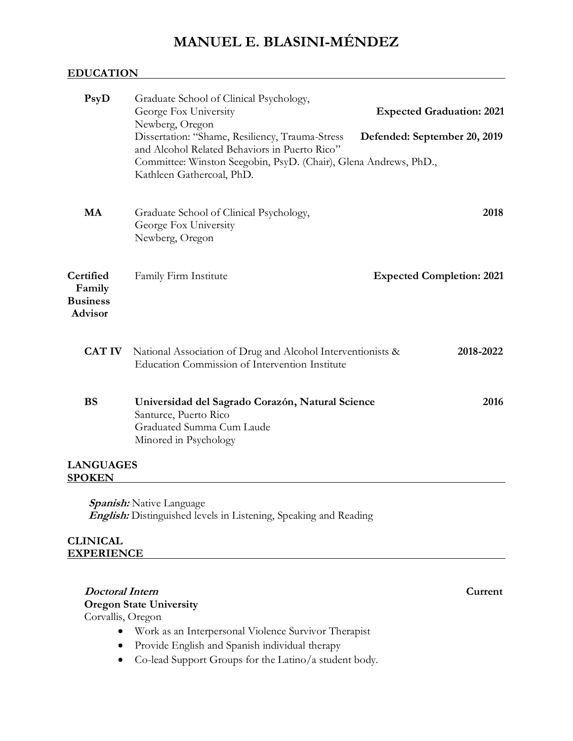# **MANUEL E. BLASINI-MÉNDEZ**

### **EDUCATION**

| PsyD                                                     | Graduate School of Clinical Psychology,<br>George Fox University<br>Newberg, Oregon                                                                                                               | <b>Expected Graduation: 2021</b> |
|----------------------------------------------------------|---------------------------------------------------------------------------------------------------------------------------------------------------------------------------------------------------|----------------------------------|
|                                                          | Dissertation: "Shame, Resiliency, Trauma-Stress<br>and Alcohol Related Behaviors in Puerto Rico"<br>Committee: Winston Seegobin, PsyD. (Chair), Glena Andrews, PhD.,<br>Kathleen Gathercoal, PhD. | Defended: September 20, 2019     |
| <b>MA</b>                                                | Graduate School of Clinical Psychology,<br>George Fox University<br>Newberg, Oregon                                                                                                               | 2018                             |
| Certified<br>Family<br><b>Business</b><br><b>Advisor</b> | Family Firm Institute                                                                                                                                                                             | <b>Expected Completion: 2021</b> |
| <b>CAT IV</b>                                            | National Association of Drug and Alcohol Interventionists &<br>Education Commission of Intervention Institute                                                                                     | 2018-2022                        |
| <b>BS</b>                                                | Universidad del Sagrado Corazón, Natural Science<br>Santurce, Puerto Rico<br>Graduated Summa Cum Laude<br>Minored in Psychology                                                                   | 2016                             |
| <b>LANGUAGES</b><br><b>SPOKEN</b>                        |                                                                                                                                                                                                   |                                  |
|                                                          | <b><i>Spanish:</i></b> Native Language<br><b>English:</b> Distinguished levels in Listening, Speaking and Reading                                                                                 |                                  |
| <b>CLINICAL</b><br><b>EXPERIENCE</b>                     |                                                                                                                                                                                                   |                                  |
| <b>Doctoral Intern</b>                                   | <b>Oregon State University</b>                                                                                                                                                                    | Current                          |

Corvallis, Oregon

- Work as an Interpersonal Violence Survivor Therapist
- Provide English and Spanish individual therapy
- Co-lead Support Groups for the Latino/a student body.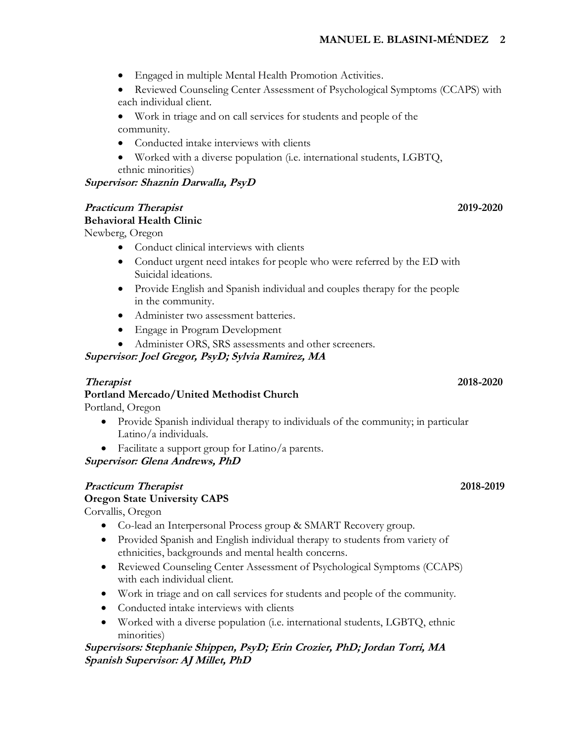- Engaged in multiple Mental Health Promotion Activities.
- Reviewed Counseling Center Assessment of Psychological Symptoms (CCAPS) with each individual client.
- Work in triage and on call services for students and people of the community.
- Conducted intake interviews with clients
- Worked with a diverse population (i.e. international students, LGBTQ, ethnic minorities)

### **Supervisor: Shaznin Darwalla, PsyD**

### **Practicum Therapist 2019-2020**

### **Behavioral Health Clinic**

Newberg, Oregon

- Conduct clinical interviews with clients
- Conduct urgent need intakes for people who were referred by the ED with Suicidal ideations.
- Provide English and Spanish individual and couples therapy for the people in the community.
- Administer two assessment batteries.
- Engage in Program Development
- Administer ORS, SRS assessments and other screeners.

# **Supervisor: Joel Gregor, PsyD; Sylvia Ramirez, MA**

## **Therapist 2018-2020**

## **Portland Mercado/United Methodist Church**

Portland, Oregon

- Provide Spanish individual therapy to individuals of the community; in particular Latino/a individuals.
- Facilitate a support group for Latino/a parents.

**Supervisor: Glena Andrews, PhD**

#### **Practicum Therapist 2018-2019 Oregon State University CAPS**

Corvallis, Oregon

- Co-lead an Interpersonal Process group & SMART Recovery group.
- Provided Spanish and English individual therapy to students from variety of ethnicities, backgrounds and mental health concerns.
- Reviewed Counseling Center Assessment of Psychological Symptoms (CCAPS) with each individual client.
- Work in triage and on call services for students and people of the community.
- Conducted intake interviews with clients
- Worked with a diverse population (i.e. international students, LGBTQ, ethnic minorities)

### **Supervisors: Stephanie Shippen, PsyD; Erin Crozier, PhD; Jordan Torri, MA Spanish Supervisor: AJ Millet, PhD**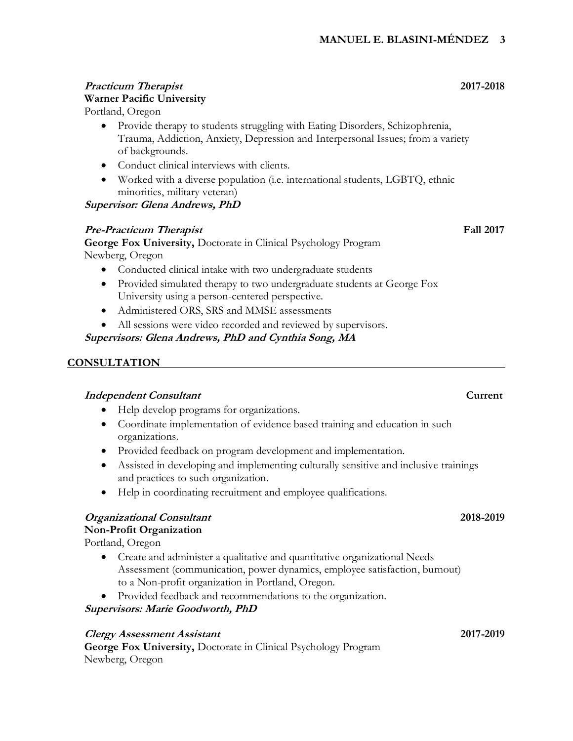# **Practicum Therapist 2017-2018 Warner Pacific University**

Portland, Oregon

- Provide therapy to students struggling with Eating Disorders, Schizophrenia, Trauma, Addiction, Anxiety, Depression and Interpersonal Issues; from a variety of backgrounds.
- Conduct clinical interviews with clients.
- Worked with a diverse population (i.e. international students, LGBTQ, ethnic minorities, military veteran)

#### **Supervisor: Glena Andrews, PhD**

#### **Pre-Practicum Therapist Fall 2017**

**George Fox University,** Doctorate in Clinical Psychology Program Newberg, Oregon

- Conducted clinical intake with two undergraduate students
- Provided simulated therapy to two undergraduate students at George Fox University using a person-centered perspective.
- Administered ORS, SRS and MMSE assessments
- All sessions were video recorded and reviewed by supervisors.

**Supervisors: Glena Andrews, PhD and Cynthia Song, MA**

#### **CONSULTATION**

#### **Independent Consultant** Consultant

- Help develop programs for organizations.
- Coordinate implementation of evidence based training and education in such organizations.
- Provided feedback on program development and implementation.
- Assisted in developing and implementing culturally sensitive and inclusive trainings and practices to such organization.
- Help in coordinating recruitment and employee qualifications.

#### **Organizational Consultant 2018-2019**

#### **Non-Profit Organization**

Portland, Oregon

- Create and administer a qualitative and quantitative organizational Needs Assessment (communication, power dynamics, employee satisfaction, burnout) to a Non-profit organization in Portland, Oregon.
- Provided feedback and recommendations to the organization.

**Supervisors: Marie Goodworth, PhD**

#### **Clergy Assessment Assistant 2017-2019**

**George Fox University,** Doctorate in Clinical Psychology Program Newberg, Oregon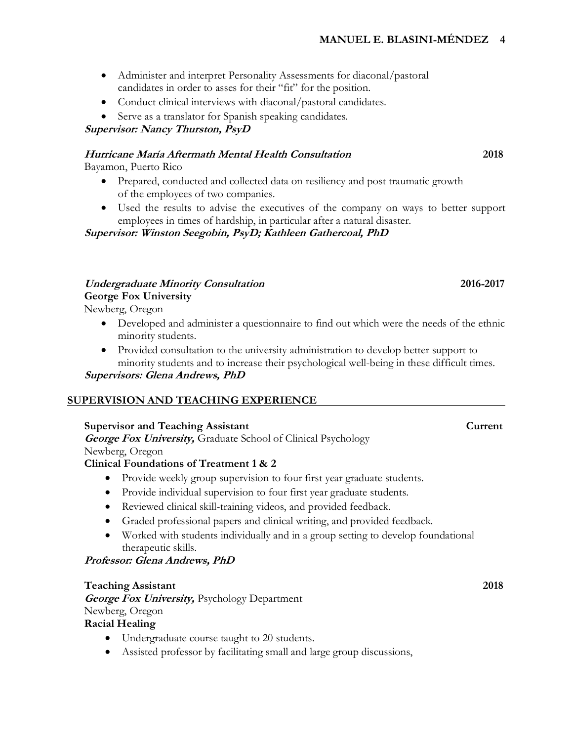- Administer and interpret Personality Assessments for diaconal/pastoral candidates in order to asses for their "fit" for the position.
- Conduct clinical interviews with diaconal/pastoral candidates.
- Serve as a translator for Spanish speaking candidates.

**Supervisor: Nancy Thurston, PsyD**

### **Hurricane María Aftermath Mental Health Consultation 2018**

Bayamon, Puerto Rico

- Prepared, conducted and collected data on resiliency and post traumatic growth of the employees of two companies.
- Used the results to advise the executives of the company on ways to better support employees in times of hardship, in particular after a natural disaster.

#### **Supervisor: Winston Seegobin, PsyD; Kathleen Gathercoal, PhD**

#### **Undergraduate Minority Consultation 2016-2017**

#### **George Fox University**

Newberg, Oregon

- Developed and administer a questionnaire to find out which were the needs of the ethnic minority students.
- Provided consultation to the university administration to develop better support to minority students and to increase their psychological well-being in these difficult times.

**Supervisors: Glena Andrews, PhD**

#### **SUPERVISION AND TEACHING EXPERIENCE**

#### **Supervisor and Teaching Assistant Current**

**George Fox University,** Graduate School of Clinical Psychology Newberg, Oregon

# **Clinical Foundations of Treatment 1 & 2**

- Provide weekly group supervision to four first year graduate students.
- Provide individual supervision to four first year graduate students.
- Reviewed clinical skill-training videos, and provided feedback.
- Graded professional papers and clinical writing, and provided feedback.
- Worked with students individually and in a group setting to develop foundational therapeutic skills.

### **Professor: Glena Andrews, PhD**

#### **Teaching Assistant 2018**

**George Fox University,** Psychology Department Newberg, Oregon

### **Racial Healing**

- Undergraduate course taught to 20 students.
- Assisted professor by facilitating small and large group discussions,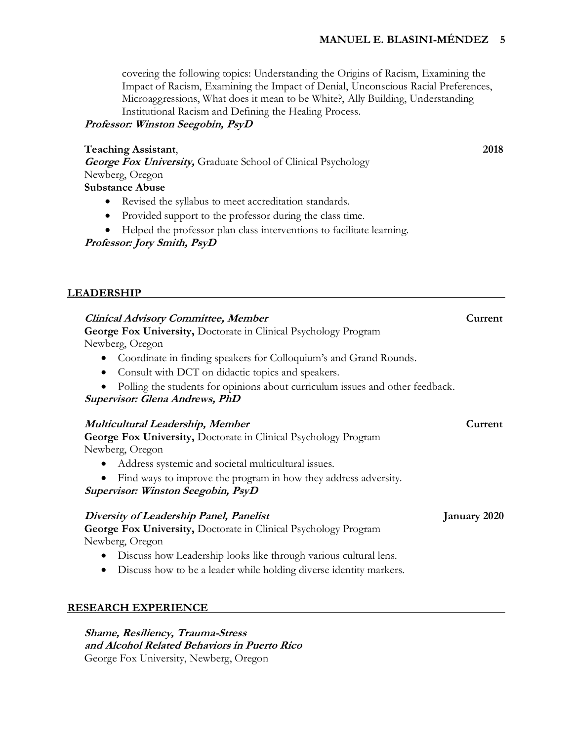covering the following topics: Understanding the Origins of Racism, Examining the Impact of Racism, Examining the Impact of Denial, Unconscious Racial Preferences, Microaggressions, What does it mean to be White?, Ally Building, Understanding Institutional Racism and Defining the Healing Process.

#### **Professor: Winston Seegobin, PsyD**

#### **Teaching Assistant**, **2018**

**George Fox University,** Graduate School of Clinical Psychology Newberg, Oregon

# **Substance Abuse**

- Revised the syllabus to meet accreditation standards.
- Provided support to the professor during the class time.
- Helped the professor plan class interventions to facilitate learning.

**Professor: Jory Smith, PsyD**

#### **LEADERSHIP**

# **Clinical Advisory Committee, Member Current**

**George Fox University,** Doctorate in Clinical Psychology Program

Newberg, Oregon

- Coordinate in finding speakers for Colloquium's and Grand Rounds.
- Consult with DCT on didactic topics and speakers.
- Polling the students for opinions about curriculum issues and other feedback.

**Supervisor: Glena Andrews, PhD**

#### **Multicultural Leadership, Member Current**

**George Fox University,** Doctorate in Clinical Psychology Program Newberg, Oregon

- Address systemic and societal multicultural issues.
- Find ways to improve the program in how they address adversity.

**Supervisor: Winston Seegobin, PsyD**

#### **Diversity of Leadership Panel, Panelist January 2020**

**George Fox University,** Doctorate in Clinical Psychology Program Newberg, Oregon

- Discuss how Leadership looks like through various cultural lens.
- Discuss how to be a leader while holding diverse identity markers.

#### **RESEARCH EXPERIENCE**

**Shame, Resiliency, Trauma-Stress and Alcohol Related Behaviors in Puerto Rico** George Fox University, Newberg, Oregon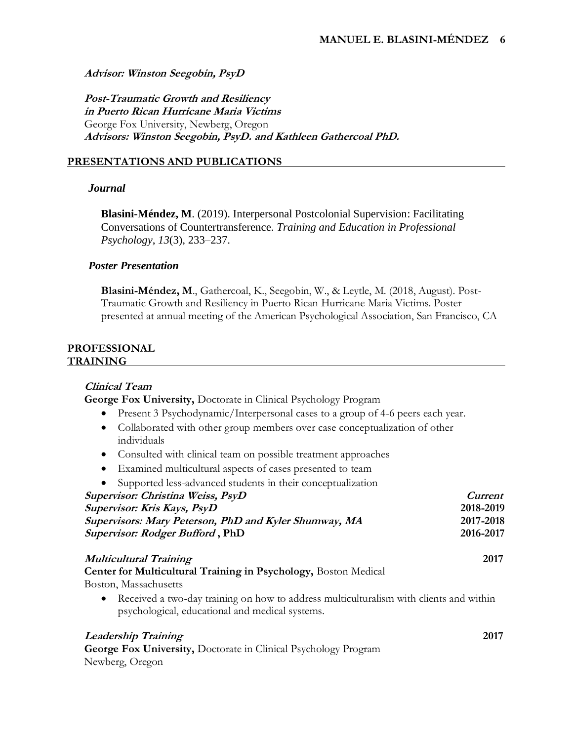#### **Advisor: Winston Seegobin, PsyD**

**Post-Traumatic Growth and Resiliency in Puerto Rican Hurricane Maria Victims** George Fox University, Newberg, Oregon **Advisors: Winston Seegobin, PsyD. and Kathleen Gathercoal PhD.**

#### **PRESENTATIONS AND PUBLICATIONS**

#### *Journal*

**Blasini-Méndez, M**. (2019). Interpersonal Postcolonial Supervision: Facilitating Conversations of Countertransference. *Training and Education in Professional Psychology*, *13*(3), 233–237.

#### *Poster Presentation*

**Blasini-Méndez, M**., Gathercoal, K., Seegobin, W., & Leytle, M. (2018, August). Post-Traumatic Growth and Resiliency in Puerto Rican Hurricane Maria Victims. Poster presented at annual meeting of the American Psychological Association, San Francisco, CA

#### **PROFESSIONAL TRAINING**

#### **Clinical Team**

**George Fox University,** Doctorate in Clinical Psychology Program

- Present 3 Psychodynamic/Interpersonal cases to a group of 4-6 peers each year.
- Collaborated with other group members over case conceptualization of other individuals
- Consulted with clinical team on possible treatment approaches
- Examined multicultural aspects of cases presented to team
- Supported less-advanced students in their conceptualization

| Supervisor: Christina Weiss, PsyD                                                                                                                      | <i>Current</i> |
|--------------------------------------------------------------------------------------------------------------------------------------------------------|----------------|
| Supervisor: Kris Kays, PsyD                                                                                                                            | 2018-2019      |
| Supervisors: Mary Peterson, PhD and Kyler Shumway, MA                                                                                                  | 2017-2018      |
| Supervisor: Rodger Bufford, PhD                                                                                                                        | 2016-2017      |
| <b>Multicultural Training</b>                                                                                                                          | 2017           |
| Center for Multicultural Training in Psychology, Boston Medical                                                                                        |                |
| Boston, Massachusetts                                                                                                                                  |                |
| Received a two-day training on how to address multiculturalism with clients and within<br>$\bullet$<br>psychological, educational and medical systems. |                |
| <b>Leadership Training</b>                                                                                                                             | 2017           |
| George Fox University, Doctorate in Clinical Psychology Program                                                                                        |                |

Newberg, Oregon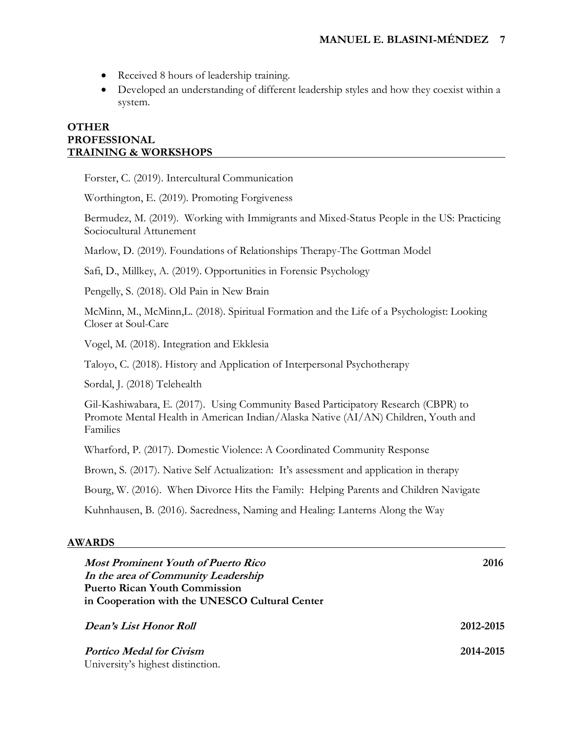- Received 8 hours of leadership training.
- Developed an understanding of different leadership styles and how they coexist within a system.

#### **OTHER PROFESSIONAL TRAINING & WORKSHOPS**

Forster, C. (2019). Intercultural Communication

Worthington, E. (2019). Promoting Forgiveness

Bermudez, M. (2019). Working with Immigrants and Mixed-Status People in the US: Practicing Sociocultural Attunement

Marlow, D. (2019). Foundations of Relationships Therapy-The Gottman Model

Safi, D., Millkey, A. (2019). Opportunities in Forensic Psychology

Pengelly, S. (2018). Old Pain in New Brain

McMinn, M., McMinn,L. (2018). Spiritual Formation and the Life of a Psychologist: Looking Closer at Soul-Care

Vogel, M. (2018). Integration and Ekklesia

Taloyo, C. (2018). History and Application of Interpersonal Psychotherapy

Sordal, J. (2018) Telehealth

Gil-Kashiwabara, E. (2017). Using Community Based Participatory Research (CBPR) to Promote Mental Health in American Indian/Alaska Native (AI/AN) Children, Youth and Families

Wharford, P. (2017). Domestic Violence: A Coordinated Community Response

Brown, S. (2017). Native Self Actualization: It's assessment and application in therapy

Bourg, W. (2016). When Divorce Hits the Family: Helping Parents and Children Navigate

Kuhnhausen, B. (2016). Sacredness, Naming and Healing: Lanterns Along the Way

#### **AWARDS**

| <b>Most Prominent Youth of Puerto Rico</b>     | 2016      |  |  |  |
|------------------------------------------------|-----------|--|--|--|
| In the area of Community Leadership            |           |  |  |  |
| <b>Puerto Rican Youth Commission</b>           |           |  |  |  |
| in Cooperation with the UNESCO Cultural Center |           |  |  |  |
|                                                |           |  |  |  |
| Dean's List Honor Roll                         | 2012-2015 |  |  |  |
|                                                |           |  |  |  |
| <b>Portico Medal for Civism</b>                | 2014-2015 |  |  |  |
| University's highest distinction.              |           |  |  |  |